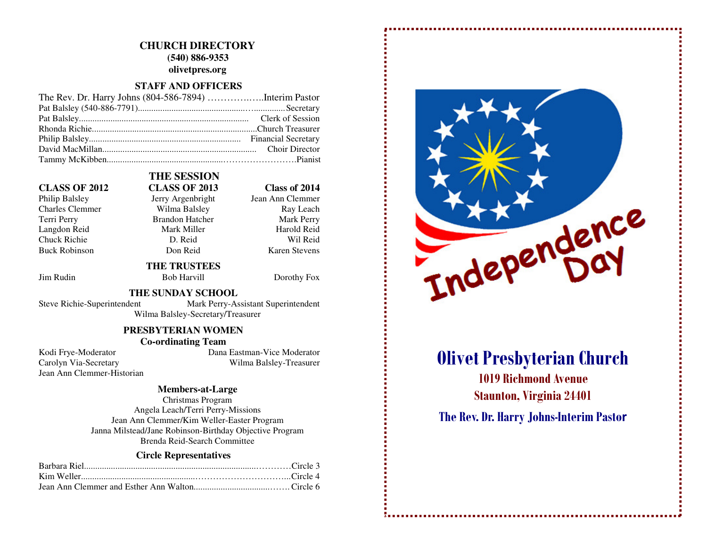#### **CHURCH DIRECTORY (540) 886-9353**

**olivetpres.org** 

#### **STAFF AND OFFICERS**

#### **CLASS OF 2012 CLASS OF 2013 Class of 2014**

Philip Balsley Jerry Argenbright Charles Clemmer Wilma Balsley Terri Perry Brandon Hatcher Mark Perry Langdon Reid Mark Miller Chuck Richie D. Reid Buck Robinson Don Reid

## **THE SESSION**

Jean Ann Clemmer Ray Leach Harold Reid Wil Reid **Karen Stevens** 

Jim Rudin Bob Harvill Dorothy Fox

#### **THE SUNDAY SCHOOL**

 **THE TRUSTEES** 

Steve Richie-Superintendent Mark Perry-Assistant Superintendent

Wilma Balsley-Secretary/Treasurer

#### **PRESBYTERIAN WOMEN**

#### **Co-ordinating Team**

Jean Ann Clemmer-Historian

 Kodi Frye-Moderator Dana Eastman-Vice Moderator Carolyn Via-Secretary Wilma Balsley-Treasurer

#### **Members-at-Large**

Christmas Program Angela Leach/Terri Perry-Missions Jean Ann Clemmer/Kim Weller-Easter Program Janna Milstead/Jane Robinson-Birthday Objective Program Brenda Reid-Search Committee

#### **Circle Representatives**



# Olivet Presbyterian Church

1019 Richmond Avenue Staunton, Virginia 24401

The Rev. Dr. Harry Johns-Interim Pastor